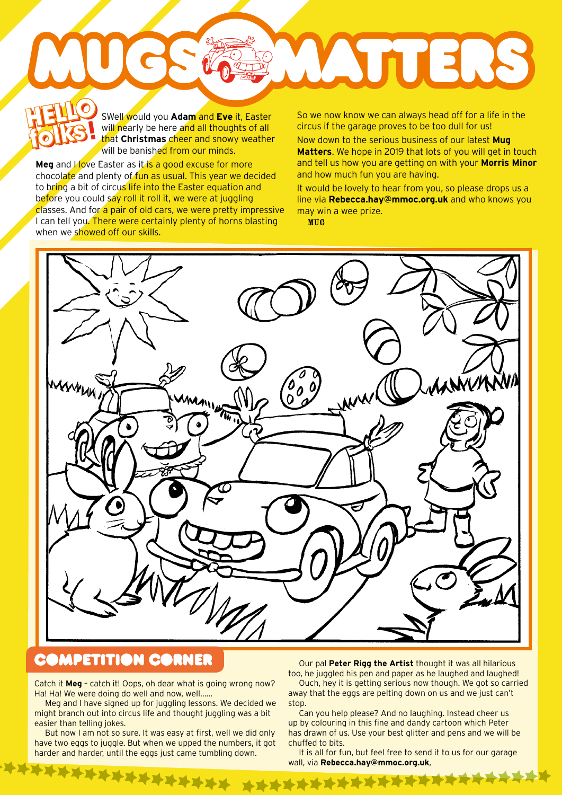SWell would you **Adam** and **Eve** it, Easter will nearly be here and all thoughts of all that **Christmas** cheer and snowy weather will be banished from our minds. **HELLO** s **folks! HELLO** 

**Meg** and *I* love Easter as it is a good excuse for more chocolate and plenty of fun as usual. This year we decided to bring a bit of circus life into the Easter equation and before you could say roll it roll it, we were at juggling classes. And for a pair of old cars, we were pretty impressive I can tell you. There were certainly plenty of horns blasting when we showed off our skills.

**folks**

So we now know we can always head off for a life in the circus if the garage proves to be too dull for us!

WATTERS

Now down to the serious business of our latest **Mug Matters**. We hope in 2019 that lots of you will get in touch and tell us how you are getting on with your **Morris Minor** and how much fun you are having.

It would be lovely to hear from you, so please drops us a line via **Rebecca.hay@mmoc.org.uk** and who knows you may win a wee prize.

MUG



## **COMPETITION CORNER**

Catch it **Meg** – catch it! Oops, oh dear what is going wrong now? Ha! Ha! We were doing do well and now, well……

Meg and I have signed up for juggling lessons. We decided we might branch out into circus life and thought juggling was a bit easier than telling jokes.

But now I am not so sure. It was easy at first, well we did only have two eggs to juggle. But when we upped the numbers, it got harder and harder, until the eggs just came tumbling down.

Our pal **Peter Rigg the Artist** thought it was all hilarious too, he juggled his pen and paper as he laughed and laughed!

Ouch, hey it is getting serious now though. We got so carried away that the eggs are pelting down on us and we just can't stop.

Can you help please? And no laughing. Instead cheer us up by colouring in this fine and dandy cartoon which Peter has drawn of us. Use your best glitter and pens and we will be chuffed to bits.

It is all for fun, but feel free to send it to us for our garage wall, via **Rebecca.hay@mmoc.org.uk**,

**\*\*\*\*\*\*\*\*\*\*\*\*\*\***